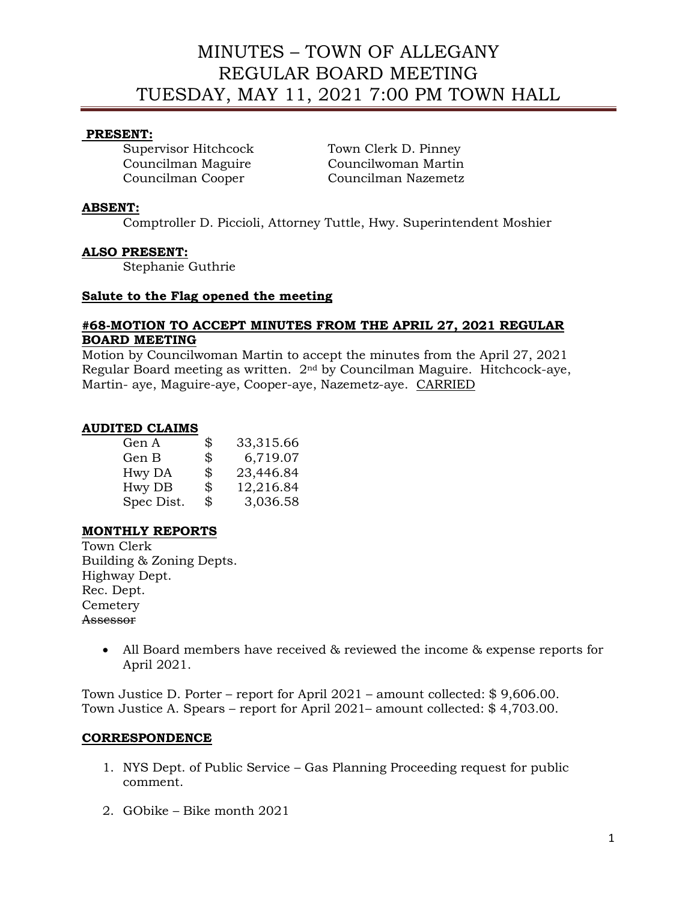# MINUTES – TOWN OF ALLEGANY REGULAR BOARD MEETING TUESDAY, MAY 11, 2021 7:00 PM TOWN HALL

### **PRESENT:**

Supervisor Hitchcock Town Clerk D. Pinney

Councilman Maguire Councilwoman Martin Councilman Cooper Councilman Nazemetz

### **ABSENT:**

Comptroller D. Piccioli, Attorney Tuttle, Hwy. Superintendent Moshier

### **ALSO PRESENT:**

Stephanie Guthrie

### **Salute to the Flag opened the meeting**

# **#68-MOTION TO ACCEPT MINUTES FROM THE APRIL 27, 2021 REGULAR BOARD MEETING**

Motion by Councilwoman Martin to accept the minutes from the April 27, 2021 Regular Board meeting as written. 2nd by Councilman Maguire. Hitchcock-aye, Martin- aye, Maguire-aye, Cooper-aye, Nazemetz-aye. CARRIED

### **AUDITED CLAIMS**

| \$<br>33,315.66 |
|-----------------|
| \$<br>6,719.07  |
| \$<br>23,446.84 |
| \$<br>12,216.84 |
| \$<br>3,036.58  |
|                 |

# **MONTHLY REPORTS**

Town Clerk Building & Zoning Depts. Highway Dept. Rec. Dept. **Cemetery** Assessor

> • All Board members have received & reviewed the income & expense reports for April 2021.

Town Justice D. Porter – report for April 2021 – amount collected: \$ 9,606.00. Town Justice A. Spears – report for April 2021– amount collected: \$ 4,703.00.

# **CORRESPONDENCE**

- 1. NYS Dept. of Public Service Gas Planning Proceeding request for public comment.
- 2. GObike Bike month 2021